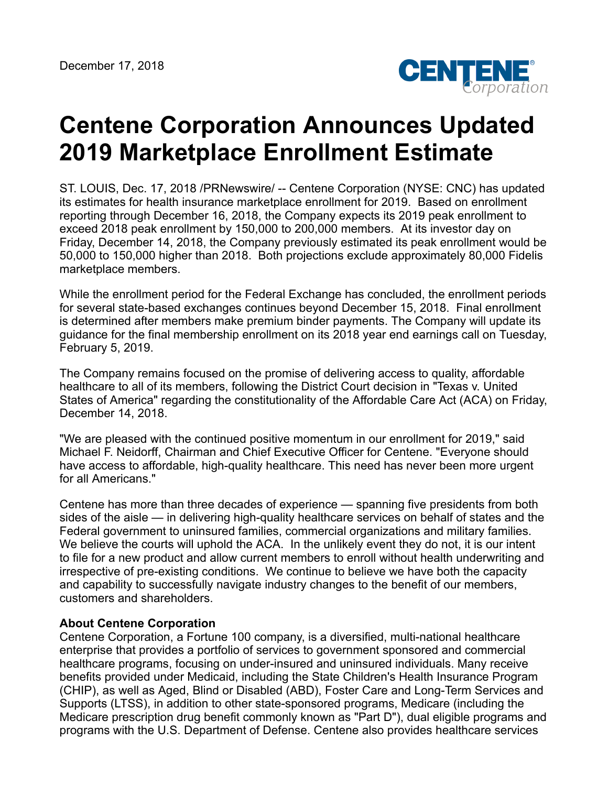

## **Centene Corporation Announces Updated 2019 Marketplace Enrollment Estimate**

ST. LOUIS, Dec. 17, 2018 /PRNewswire/ -- Centene Corporation (NYSE: CNC) has updated its estimates for health insurance marketplace enrollment for 2019. Based on enrollment reporting through December 16, 2018, the Company expects its 2019 peak enrollment to exceed 2018 peak enrollment by 150,000 to 200,000 members. At its investor day on Friday, December 14, 2018, the Company previously estimated its peak enrollment would be 50,000 to 150,000 higher than 2018. Both projections exclude approximately 80,000 Fidelis marketplace members.

While the enrollment period for the Federal Exchange has concluded, the enrollment periods for several state-based exchanges continues beyond December 15, 2018. Final enrollment is determined after members make premium binder payments. The Company will update its guidance for the final membership enrollment on its 2018 year end earnings call on Tuesday, February 5, 2019.

The Company remains focused on the promise of delivering access to quality, affordable healthcare to all of its members, following the District Court decision in "Texas v. United States of America" regarding the constitutionality of the Affordable Care Act (ACA) on Friday, December 14, 2018.

"We are pleased with the continued positive momentum in our enrollment for 2019," said Michael F. Neidorff, Chairman and Chief Executive Officer for Centene. "Everyone should have access to affordable, high-quality healthcare. This need has never been more urgent for all Americans."

Centene has more than three decades of experience — spanning five presidents from both sides of the aisle — in delivering high-quality healthcare services on behalf of states and the Federal government to uninsured families, commercial organizations and military families. We believe the courts will uphold the ACA. In the unlikely event they do not, it is our intent to file for a new product and allow current members to enroll without health underwriting and irrespective of pre-existing conditions. We continue to believe we have both the capacity and capability to successfully navigate industry changes to the benefit of our members, customers and shareholders.

## **About Centene Corporation**

Centene Corporation, a Fortune 100 company, is a diversified, multi-national healthcare enterprise that provides a portfolio of services to government sponsored and commercial healthcare programs, focusing on under-insured and uninsured individuals. Many receive benefits provided under Medicaid, including the State Children's Health Insurance Program (CHIP), as well as Aged, Blind or Disabled (ABD), Foster Care and Long-Term Services and Supports (LTSS), in addition to other state-sponsored programs, Medicare (including the Medicare prescription drug benefit commonly known as "Part D"), dual eligible programs and programs with the U.S. Department of Defense. Centene also provides healthcare services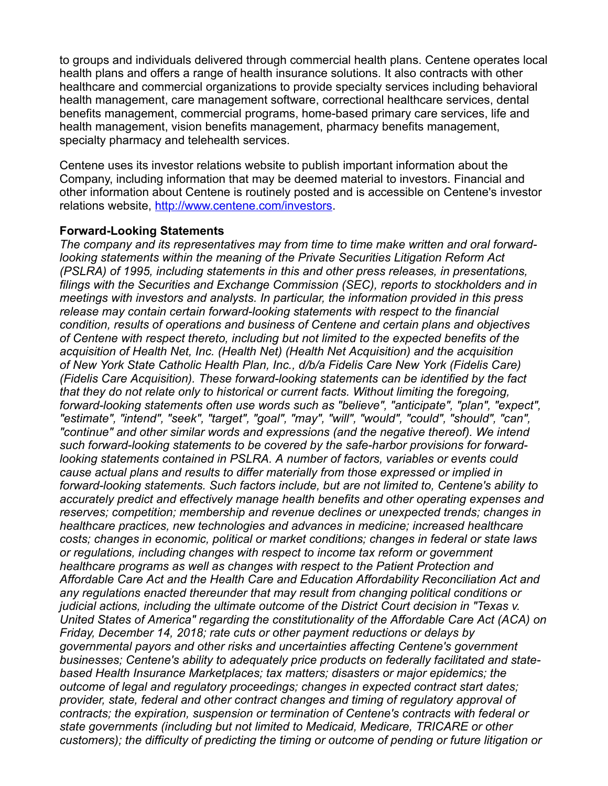to groups and individuals delivered through commercial health plans. Centene operates local health plans and offers a range of health insurance solutions. It also contracts with other healthcare and commercial organizations to provide specialty services including behavioral health management, care management software, correctional healthcare services, dental benefits management, commercial programs, home-based primary care services, life and health management, vision benefits management, pharmacy benefits management, specialty pharmacy and telehealth services.

Centene uses its investor relations website to publish important information about the Company, including information that may be deemed material to investors. Financial and other information about Centene is routinely posted and is accessible on Centene's investor relations website, <http://www.centene.com/investors>.

## **Forward-Looking Statements**

*The company and its representatives may from time to time make written and oral forwardlooking statements within the meaning of the Private Securities Litigation Reform Act (PSLRA) of 1995, including statements in this and other press releases, in presentations, filings with the Securities and Exchange Commission (SEC), reports to stockholders and in meetings with investors and analysts. In particular, the information provided in this press release may contain certain forward-looking statements with respect to the financial condition, results of operations and business of Centene and certain plans and objectives of Centene with respect thereto, including but not limited to the expected benefits of the acquisition of Health Net, Inc. (Health Net) (Health Net Acquisition) and the acquisition of New York State Catholic Health Plan, Inc., d/b/a Fidelis Care New York (Fidelis Care) (Fidelis Care Acquisition). These forward-looking statements can be identified by the fact that they do not relate only to historical or current facts. Without limiting the foregoing, forward-looking statements often use words such as "believe", "anticipate", "plan", "expect", "estimate", "intend", "seek", "target", "goal", "may", "will", "would", "could", "should", "can", "continue" and other similar words and expressions (and the negative thereof). We intend such forward-looking statements to be covered by the safe-harbor provisions for forwardlooking statements contained in PSLRA. A number of factors, variables or events could cause actual plans and results to differ materially from those expressed or implied in forward-looking statements. Such factors include, but are not limited to, Centene's ability to accurately predict and effectively manage health benefits and other operating expenses and reserves; competition; membership and revenue declines or unexpected trends; changes in healthcare practices, new technologies and advances in medicine; increased healthcare costs; changes in economic, political or market conditions; changes in federal or state laws or regulations, including changes with respect to income tax reform or government healthcare programs as well as changes with respect to the Patient Protection and Affordable Care Act and the Health Care and Education Affordability Reconciliation Act and any regulations enacted thereunder that may result from changing political conditions or judicial actions, including the ultimate outcome of the District Court decision in "Texas v. United States of America" regarding the constitutionality of the Affordable Care Act (ACA) on Friday, December 14, 2018; rate cuts or other payment reductions or delays by governmental payors and other risks and uncertainties affecting Centene's government businesses; Centene's ability to adequately price products on federally facilitated and statebased Health Insurance Marketplaces; tax matters; disasters or major epidemics; the outcome of legal and regulatory proceedings; changes in expected contract start dates; provider, state, federal and other contract changes and timing of regulatory approval of contracts; the expiration, suspension or termination of Centene's contracts with federal or state governments (including but not limited to Medicaid, Medicare, TRICARE or other customers); the difficulty of predicting the timing or outcome of pending or future litigation or*